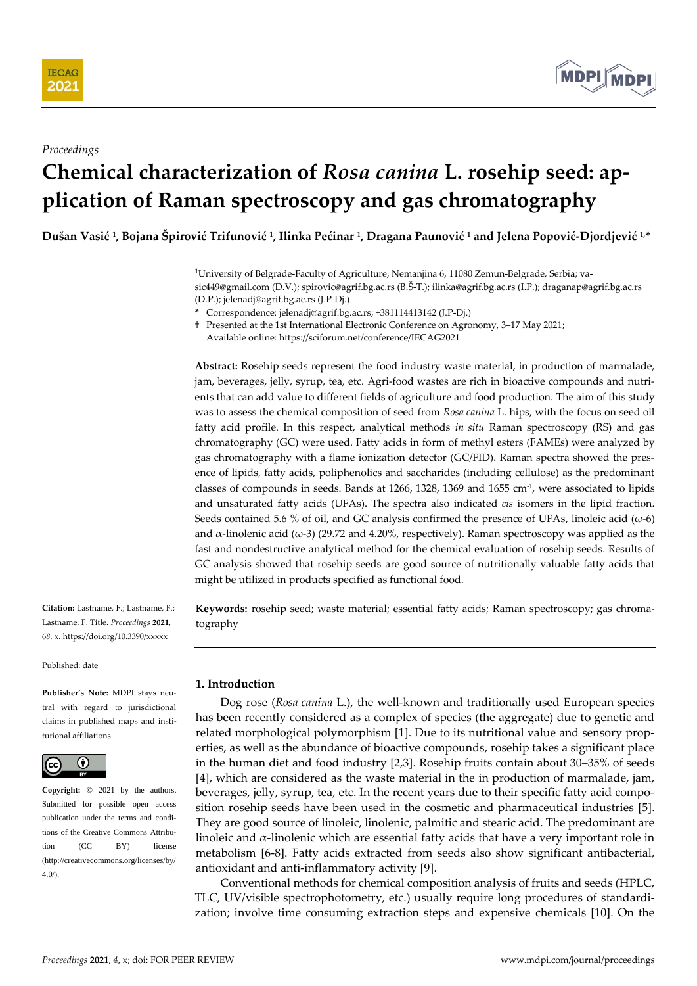



#### *Proceedings*

# **Chemical characterization of** *Rosa canina* **L. rosehip seed: application of Raman spectroscopy and gas chromatography**

**Dušan Vasić <sup>1</sup> , Bojana Špirović Trifunović <sup>1</sup> , Ilinka Pećinar <sup>1</sup> , Dragana Paunović <sup>1</sup> and Jelena Popović-Djordjević 1,\***

<sup>1</sup>University of Belgrade-Faculty of Agriculture, Nemanjina 6, 11080 Zemun-Belgrade, Serbia; vasic449@gmail.com (D.V.); spirovic@agrif.bg.ac.rs (B.Š-T.); ilinka@agrif.bg.ac.rs (I.P.); draganap@agrif.bg.ac.rs (D.P.); jelenadj@agrif.bg.ac.rs (J.P-Dj.)

**\*** Correspondence: jelenadj@agrif.bg.ac.rs; +381114413142 (J.P-Dj.)

† Presented at the 1st International Electronic Conference on Agronomy, 3–17 May 2021;

Available online: https://sciforum.net/conference/IECAG2021

**Abstract:** Rosehip seeds represent the food industry waste material, in production of marmalade, jam, beverages, jelly, syrup, tea, etc. Agri-food wastes are rich in bioactive compounds and nutrients that can add value to different fields of agriculture and food production. The aim of this study was to assess the chemical composition of seed from *Rosa canina* L. hips, with the focus on seed oil fatty acid profile. In this respect, analytical methods *in situ* Raman spectroscopy (RS) and gas chromatography (GC) were used. Fatty acids in form of methyl esters (FAMEs) were analyzed by gas chromatography with a flame ionization detector (GC/FID). Raman spectra showed the presence of lipids, fatty acids, poliphenolics and saccharides (including cellulose) as the predominant classes of compounds in seeds. Bands at 1266, 1328, 1369 and 1655 cm-1 , were associated to lipids and unsaturated fatty acids (UFAs). The spectra also indicated *cis* isomers in the lipid fraction. Seeds contained 5.6 % of oil, and GC analysis confirmed the presence of UFAs, linoleic acid ( $\omega$ -6) and  $\alpha$ -linolenic acid ( $\omega$ -3) (29.72 and 4.20%, respectively). Raman spectroscopy was applied as the fast and nondestructive analytical method for the chemical evaluation of rosehip seeds. Results of GC analysis showed that rosehip seeds are good source of nutritionally valuable fatty acids that might be utilized in products specified as functional food.

**Citation:** Lastname, F.; Lastname, F.; Lastname, F. Title. *Proceedings* **2021**, 6*8*, x. https://doi.org/10.3390/xxxxx

Published: date

**Publisher's Note:** MDPI stays neutral with regard to jurisdictional claims in published maps and institutional affiliations.



**Copyright:** © 2021 by the authors. Submitted for possible open access publication under the terms and conditions of the Creative Commons Attribution (CC BY) license (http://creativecommons.org/licenses/by/ 4.0/).

**Keywords:** rosehip seed; waste material; essential fatty acids; Raman spectroscopy; gas chromatography

# **1. Introduction**

Dog rose (*Rosa canina* L.), the well-known and traditionally used European species has been recently considered as a complex of species (the aggregate) due to genetic and related morphological polymorphism [1]. Due to its nutritional value and sensory properties, as well as the abundance of bioactive compounds, rosehip takes a significant place in the human diet and food industry [2,3]. Rosehip fruits contain about 30–35% of seeds [4], which are considered as the waste material in the in production of marmalade, jam, beverages, jelly, syrup, tea, etc. In the recent years due to their specific fatty acid composition rosehip seeds have been used in the cosmetic and pharmaceutical industries [5]. They are good source of linoleic, linolenic, palmitic and stearic acid. The predominant are linoleic and  $\alpha$ -linolenic which are essential fatty acids that have a very important role in metabolism [6-8]. Fatty acids extracted from seeds also show significant antibacterial, antioxidant and anti-inflammatory activity [9].

Conventional methods for chemical composition analysis of fruits and seeds (HPLC, TLC, UV/visible spectrophotometry, etc.) usually require long procedures of standardization; involve time consuming extraction steps and expensive chemicals [10]. On the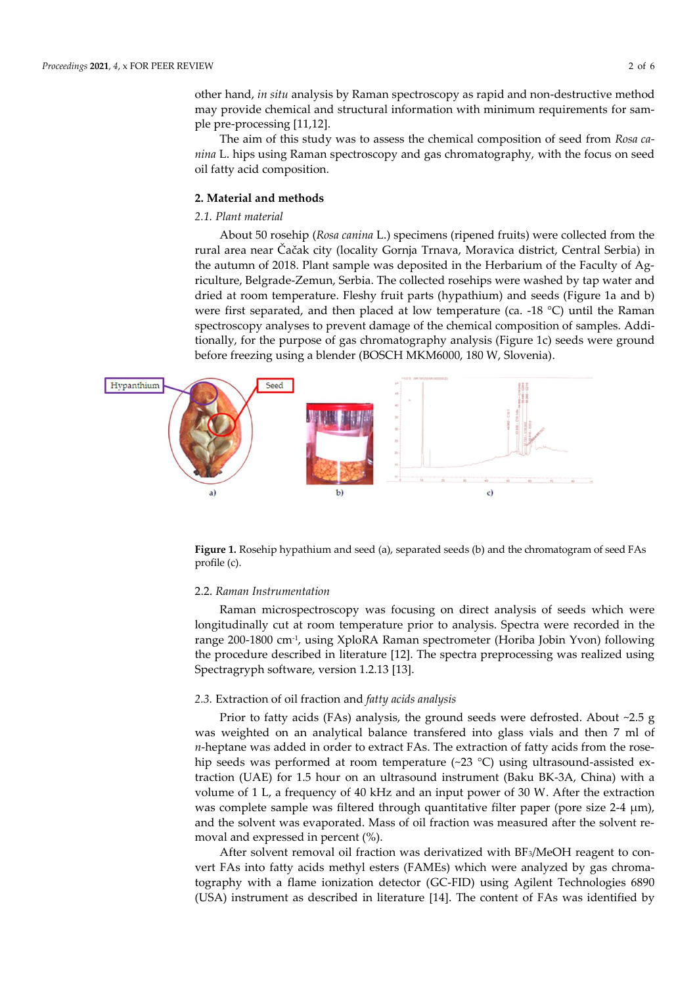other hand, *in situ* analysis by Raman spectroscopy as rapid and non-destructive method may provide chemical and structural information with minimum requirements for sample pre-processing [11,12].

The aim of this study was to assess the chemical composition of seed from *Rosa canina* L. hips using Raman spectroscopy and gas chromatography, with the focus on seed oil fatty acid composition.

# **2. Material and methods**

## *2.1. Plant material*

About 50 rosehip (*Rosa canina* L.) specimens (ripened fruits) were collected from the rural area near Čačak city (locality Gornja Trnava, Moravica district, Central Serbia) in the autumn of 2018. Plant sample was deposited in the Herbarium of the Faculty of Agriculture, Belgrade-Zemun, Serbia. The collected rosehips were washed by tap water and dried at room temperature. Fleshy fruit parts (hypathium) and seeds (Figure 1a and b) were first separated, and then placed at low temperature (ca. -18 °C) until the Raman spectroscopy analyses to prevent damage of the chemical composition of samples. Additionally, for the purpose of gas chromatography analysis (Figure 1c) seeds were ground before freezing using a blender (BOSCH MKM6000, 180 W, Slovenia).



**Figure 1.** Rosehip hypathium and seed (a), separated seeds (b) and the chromatogram of seed FAs profile (c).

#### 2.2. *Raman Instrumentation*

Raman microspectroscopy was focusing on direct analysis of seeds which were longitudinally cut at room temperature prior to analysis. Spectra were recorded in the range 200-1800 cm-1 , using XploRA Raman spectrometer (Horiba Jobin Yvon) following the procedure described in literature [12]. The spectra preprocessing was realized using Spectragryph software, version 1.2.13 [13].

## *2.3.* Extraction of oil fraction and *fatty acids analysis*

Prior to fatty acids (FAs) analysis, the ground seeds were defrosted. About ~2.5 g was weighted on an analytical balance transfered into glass vials and then 7 ml of *n*-heptane was added in order to extract FAs. The extraction of fatty acids from the rosehip seeds was performed at room temperature (~23 °C) using ultrasound-assisted extraction (UAE) for 1.5 hour on an ultrasound instrument (Baku BK-3A, China) with a volume of 1 L, a frequency of 40 kHz and an input power of 30 W. After the extraction was complete sample was filtered through quantitative filter paper (pore size 2-4 μm), and the solvent was evaporated. Mass of oil fraction was measured after the solvent removal and expressed in percent (%).

After solvent removal oil fraction was derivatized with BF3/MeOH reagent to convert FAs into fatty acids methyl esters (FAMEs) which were analyzed by gas chromatography with a flame ionization detector (GC-FID) using Agilent Technologies 6890 (USA) instrument as described in literature [14]. The content of FAs was identified by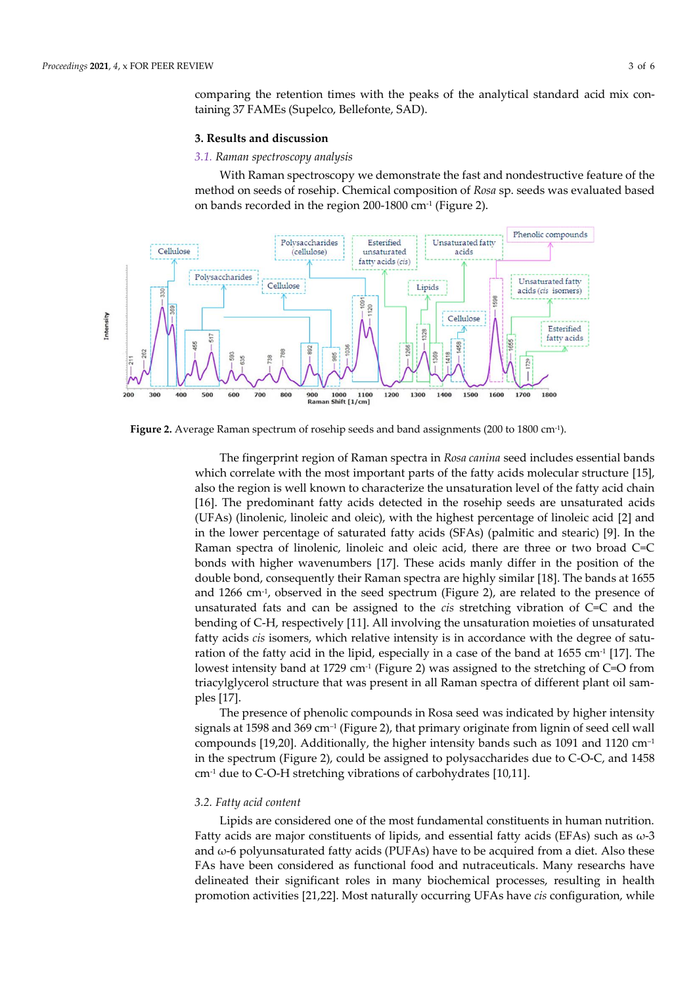comparing the retention times with the peaks of the analytical standard acid mix containing 37 FAMEs (Supelco, Bellefonte, SAD).

#### **3. Results and discussion**

#### *3.1. Raman spectroscopy analysis*

With Raman spectroscopy we demonstrate the fast and nondestructive feature of the method on seeds of rosehip. Chemical composition of *Rosa* sp. seeds was evaluated based on bands recorded in the region 200-1800 cm-1 (Figure 2).



**Figure 2.** Average Raman spectrum of rosehip seeds and band assignments (200 to 1800 cm-1 ).

The fingerprint region of Raman spectra in *Rosa canina* seed includes essential bands which correlate with the most important parts of the fatty acids molecular structure [15], also the region is well known to characterize the unsaturation level of the fatty acid chain [16]. The predominant fatty acids detected in the rosehip seeds are unsaturated acids (UFAs) (linolenic, linoleic and oleic), with the highest percentage of linoleic acid [2] and in the lower percentage of saturated fatty acids (SFAs) (palmitic and stearic) [9]. In the Raman spectra of linolenic, linoleic and oleic acid, there are three or two broad C=C bonds with higher wavenumbers [17]. These acids manly differ in the position of the double bond, consequently their Raman spectra are highly similar [18]. The bands at 1655 and 1266 cm-1 , observed in the seed spectrum (Figure 2), are related to the presence of unsaturated fats and can be assigned to the *cis* stretching vibration of C=C and the bending of C-H, respectively [11]. All involving the unsaturation moieties of unsaturated fatty acids *cis* isomers, which relative intensity is in accordance with the degree of saturation of the fatty acid in the lipid, especially in a case of the band at 1655 cm<sup>-1</sup> [17]. The lowest intensity band at 1729 cm<sup>-1</sup> (Figure 2) was assigned to the stretching of C=O from triacylglycerol structure that was present in all Raman spectra of different plant oil samples [17].

The presence of phenolic compounds in Rosa seed was indicated by higher intensity signals at 1598 and 369 cm–<sup>1</sup> (Figure 2), that primary originate from lignin of seed cell wall compounds [19,20]. Additionally, the higher intensity bands such as 1091 and 1120  $cm^{-1}$ in the spectrum (Figure 2), could be assigned to polysaccharides due to C-O-C, and 1458 cm-1 due to C-O-H stretching vibrations of carbohydrates [10,11].

## *3.2. Fatty acid content*

Lipids are considered one of the most fundamental constituents in human nutrition. Fatty acids are major constituents of lipids, and essential fatty acids (EFAs) such as  $\omega$ -3 and  $\omega$ -6 polyunsaturated fatty acids (PUFAs) have to be acquired from a diet. Also these FAs have been considered as functional food and nutraceuticals. Many researchs have delineated their significant roles in many biochemical processes, resulting in health promotion activities [21,22]. Most naturally occurring UFAs have *cis* configuration, while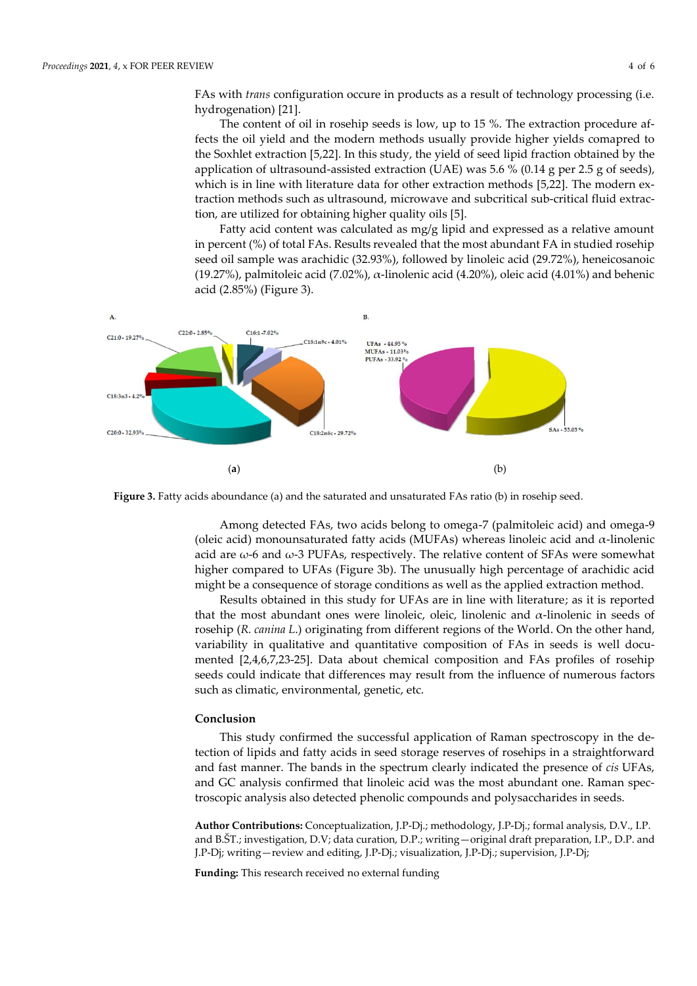FAs with *trans* configuration occure in products as a result of technology processing (i.e. hydrogenation) [21].

The content of oil in rosehip seeds is low, up to 15 %. The extraction procedure affects the oil yield and the modern methods usually provide higher yields comapred to the Soxhlet extraction [5,22]. In this study, the yield of seed lipid fraction obtained by the application of ultrasound-assisted extraction (UAE) was 5.6 % (0.14 g per 2.5 g of seeds), which is in line with literature data for other extraction methods [5,22]. The modern extraction methods such as ultrasound, microwave and subcritical sub-critical fluid extraction, are utilized for obtaining higher quality oils [5].

Fatty acid content was calculated as mg/g lipid and expressed as a relative amount in percent (%) of total FAs. Results revealed that the most abundant FA in studied rosehip seed oil sample was arachidic (32.93%), followed by linoleic acid (29.72%), heneicosanoic (19.27%), palmitoleic acid (7.02%),  $\alpha$ -linolenic acid (4.20%), oleic acid (4.01%) and behenic acid (2.85%) (Figure 3).



**Figure 3.** Fatty acids aboundance (a) and the saturated and unsaturated FAs ratio (b) in rosehip seed.

Among detected FAs, two acids belong to omega-7 (palmitoleic acid) and omega-9 (oleic acid) monounsaturated fatty acids (MUFAs) whereas linoleic acid and α-linolenic acid are  $\omega$ -6 and  $\omega$ -3 PUFAs, respectively. The relative content of SFAs were somewhat higher compared to UFAs (Figure 3b). The unusually high percentage of arachidic acid might be a consequence of storage conditions as well as the applied extraction method.

Results obtained in this study for UFAs are in line with literature; as it is reported that the most abundant ones were linoleic, oleic, linolenic and  $α$ -linolenic in seeds of rosehip (*R. canina L*.) originating from different regions of the World. On the other hand, variability in qualitative and quantitative composition of FAs in seeds is well documented [2,4,6,7,23-25]. Data about chemical composition and FAs profiles of rosehip seeds could indicate that differences may result from the influence of numerous factors such as climatic, environmental, genetic, etc.

#### **Conclusion**

This study confirmed the successful application of Raman spectroscopy in the detection of lipids and fatty acids in seed storage reserves of rosehips in a straightforward and fast manner. The bands in the spectrum clearly indicated the presence of *cis* UFAs, and GC analysis confirmed that linoleic acid was the most abundant one. Raman spectroscopic analysis also detected phenolic compounds and polysaccharides in seeds.

**Author Contributions:** Conceptualization, J.P-Dj.; methodology, J.P-Dj.; formal analysis, D.V., I.P. and B.ŠT.; investigation, D.V; data curation, D.P.; writing—original draft preparation, I.P., D.P. and J.P-Dj; writing—review and editing, J.P-Dj.; visualization, J.P-Dj.; supervision, J.P-Dj;

**Funding:** This research received no external funding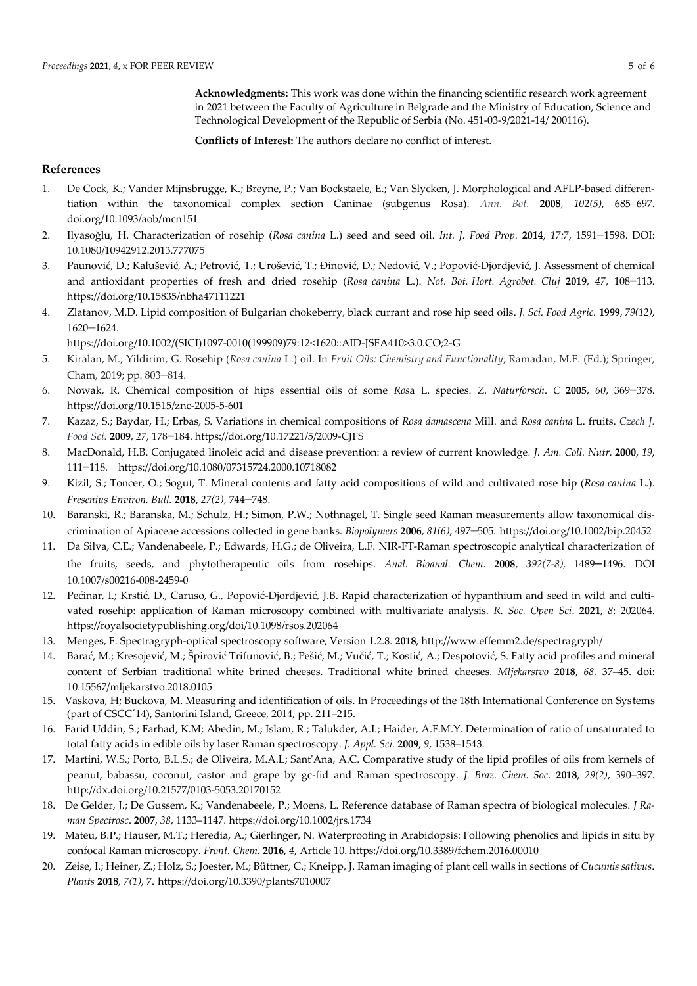**Acknowledgments:** This work was done within the financing scientific research work agreement in 2021 between the Faculty of Agriculture in Belgrade and the Ministry of Education, Science and Technological Development of the Republic of Serbia (No. 451-03-9/2021-14/ 200116).

**Conflicts of Interest:** The authors declare no conflict of interest.

# **References**

- 1. De Cock, K.; Vander Mijnsbrugge, K.; Breyne, P.; Van Bockstaele, E.; Van Slycken, J. Morphological and AFLP-based differentiation within the taxonomical complex section Caninae (subgenus Rosa). *Ann. Bot.* **2008**, *102(5),* 685–697. doi.org/10.1093/aob/mcn151
- 2. Ilyasoğlu, H. Characterization of rosehip (*Rosa canina* L.) seed and seed oil. *Int. J*. *Food Prop*. **2014**, *17:7*, 1591–1598. DOI: 10.1080/10942912.2013.777075
- 3. Paunović, D.; Kalušević, A.; Petrović, T.; Urošević, T.; Đinović, D.; Nedović, V.; Popović-Djordjević, J. Assessment of chemical and antioxidant properties of fresh and dried rosehip (*Rosa canina* L.). *Not. Bot. Hort. Agrobot. Cluj* **2019**, *47*, 108–113. https://doi.org/10.15835/nbha47111221
- 4. Zlatanov, M.D. Lipid composition of Bulgarian chokeberry, black currant and rose hip seed oils. *J. Sci. Food Agric.* **1999**, *79(12)*, 1620–1624.

https://doi.org/10.1002/(SICI)1097-0010(199909)79:12<1620::AID-JSFA410>3.0.CO;2-G

- 5. Kiralan, M.; Yildirim, G. Rosehip (*Rosa canina* L.) oil. In *Fruit Oils: Chemistry and Functionality*; Ramadan, M.F. (Ed.); Springer, Cham, 2019; pp. 803–814.
- 6. Nowak, R. Chemical composition of hips essential oils of some *Ros*a L. species. *Z. Naturforsch*. *C* **2005**, *60*, 369–378. https://doi.org/10.1515/znc-2005-5-601
- 7. Kazaz, S.; Baydar, H.; Erbas, S. Variations in chemical compositions of *Rosa damascena* Mill. and *Rosa canina* L. fruits. *Czech J. Food Sci.* **2009**, *27*, 178–184. https://doi.org/10.17221/5/2009-CJFS
- 8. MacDonald, H.B. Conjugated linoleic acid and disease prevention: a review of current knowledge*. J. Am. Coll. Nutr.* **2000**, *19*, 111–118. https://doi.org/10.1080/07315724.2000.10718082
- 9. Kizil, S.; Toncer, O.; Sogut, T. Mineral contents and fatty acid compositions of wild and cultivated rose hip (*Rosa canina* L.). *Fresenius Environ. Bull.* **2018**, *27(2)*, 744–748.
- 10. Baranski, R.; Baranska, M.; Schulz, H.; Simon, P.W.; Nothnagel, T. Single seed Raman measurements allow taxonomical discrimination of Apiaceae accessions collected in gene banks. *Biopolymers* **2006**, *81(6)*, 497–505. https://doi.org/10.1002/bip.20452
- 11. Da Silva, C.E.; Vandenabeele, P.; Edwards, H.G.; de Oliveira, L.F. NIR-FT-Raman spectroscopic analytical characterization of the fruits, seeds, and phytotherapeutic oils from rosehips. *Anal. Bioanal. Chem*. **2008**, *392(7-8),* 1489–1496. DOI 10.1007/s00216-008-2459-0
- 12. Pećinar, I.; Krstić, D., Caruso, G., Popović-Djordjević, J.B. Rapid characterization of hypanthium and seed in wild and cultivated rosehip: application of Raman microscopy combined with multivariate analysis. *R. Soc. Open Sci*. **2021**, *8*: 202064. https://royalsocietypublishing.org/doi/10.1098/rsos.202064
- 13. Menges, F. Spectragryph-optical spectroscopy software, Version 1.2.8. **2018**, http://www.effemm2.de/spectragryph/
- 14. Barać, M.; Kresojević, M.; Špirović Trifunović, B.; Pešić, M.; Vučić, T.; Kostić, A.; Despotović, S. Fatty acid profiles and mineral content of Serbian traditional white brined cheeses. Traditional white brined cheeses. *Mljekarstvo* **2018**, *68,* 37–45. doi: 10.15567/mljekarstvo.2018.0105
- 15. Vaskova, H; Buckova, M. Measuring and identification of oils. In Proceedings of the 18th International Conference on Systems (part of CSCC´14), Santorini Island, Greece, 2014, pp. 211–215.
- 16. Farid Uddin, S.; Farhad, K.M; Abedin, M.; Islam, R.; Talukder, A.I.; Haider, A.F.M.Y. Determination of ratio of unsaturated to total fatty acids in edible oils by laser Raman spectroscopy. *J. Appl. Sci.* **2009**, *9*, 1538–1543.
- 17.Martini, W.S.; Porto, B.L.S.; de Oliveira, M.A.L; Sant'Ana, A.C. Comparative study of the lipid profiles of oils from kernels of peanut, babassu, coconut, castor and grape by gc-fid and Raman spectroscopy. *J. Braz. Chem. Soc.* **2018**, *29(2)*, 390–397. http://dx.doi.org/10.21577/0103-5053.20170152
- 18. De Gelder, J.; De Gussem, K.; Vandenabeele, P.; Moens, L. Reference database of Raman spectra of biological molecules. *J Raman Spectrosc*. **2007**, *38*, 1133–1147. https://doi.org/10.1002/jrs.1734
- 19. Mateu, B.P.; Hauser, M.T.; Heredia, A.; Gierlinger, N. Waterproofing in Arabidopsis: Following phenolics and lipids in situ by confocal Raman microscopy. *Front. Chem*. **2016**, *4*, Article 10. https://doi.org/10.3389/fchem.2016.00010
- 20. Zeise, I.; Heiner, Z.; Holz, S.; Joester, M.; Büttner, C.; Kneipp, J. Raman imaging of plant cell walls in sections of *Cucumis sativus*. *Plants* **2018***, 7(1)*, 7. https://doi.org/10.3390/plants7010007